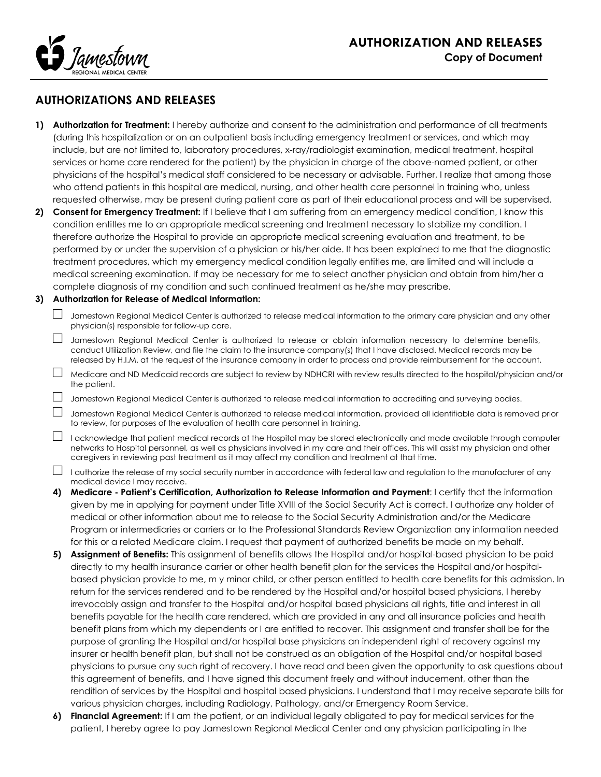

## **AUTHORIZATIONS AND RELEASES**

- **1) Authorization for Treatment:** I hereby authorize and consent to the administration and performance of all treatments (during this hospitalization or on an outpatient basis including emergency treatment or services, and which may include, but are not limited to, laboratory procedures, x-ray/radiologist examination, medical treatment, hospital services or home care rendered for the patient) by the physician in charge of the above-named patient, or other physicians of the hospital's medical staff considered to be necessary or advisable. Further, I realize that among those who attend patients in this hospital are medical, nursing, and other health care personnel in training who, unless requested otherwise, may be present during patient care as part of their educational process and will be supervised.
- **2) Consent for Emergency Treatment:** If I believe that I am suffering from an emergency medical condition, I know this condition entitles me to an appropriate medical screening and treatment necessary to stabilize my condition. I therefore authorize the Hospital to provide an appropriate medical screening evaluation and treatment, to be performed by or under the supervision of a physician or his/her aide. It has been explained to me that the diagnostic treatment procedures, which my emergency medical condition legally entitles me, are limited and will include a medical screening examination. If may be necessary for me to select another physician and obtain from him/her a complete diagnosis of my condition and such continued treatment as he/she may prescribe.

## **3) Authorization for Release of Medical Information:**

- $\Box$  Jamestown Regional Medical Center is authorized to release medical information to the primary care physician and any other physician(s) responsible for follow-up care.
- □ Jamestown Regional Medical Center is authorized to release or obtain information necessary to determine benefits, conduct Utilization Review, and file the claim to the insurance company(s) that I have disclosed. Medical records may be released by H.I.M. at the request of the insurance company in order to process and provide reimbursement for the account.
- $\Box$  Medicare and ND Medicaid records are subject to review by NDHCRI with review results directed to the hospital/physician and/or the patient.
- $\Box$  Jamestown Regional Medical Center is authorized to release medical information to accrediting and surveying bodies.
- $\Box$  Jamestown Regional Medical Center is authorized to release medical information, provided all identifiable data is removed prior to review, for purposes of the evaluation of health care personnel in training.
- $\Box$  I acknowledge that patient medical records at the Hospital may be stored electronically and made available through computer networks to Hospital personnel, as well as physicians involved in my care and their offices. This will assist my physician and other caregivers in reviewing past treatment as it may affect my condition and treatment at that time.
- $\Box$  I authorize the release of my social security number in accordance with federal law and regulation to the manufacturer of any medical device I may receive.
- **4) Medicare - Patient's Certification, Authorization to Release Information and Payment**: I certify that the information given by me in applying for payment under Title XVIII of the Social Security Act is correct. I authorize any holder of medical or other information about me to release to the Social Security Administration and/or the Medicare Program or intermediaries or carriers or to the Professional Standards Review Organization any information needed for this or a related Medicare claim. I request that payment of authorized benefits be made on my behalf.
- **5) Assignment of Benefits:** This assignment of benefits allows the Hospital and/or hospital-based physician to be paid directly to my health insurance carrier or other health benefit plan for the services the Hospital and/or hospitalbased physician provide to me, m y minor child, or other person entitled to health care benefits for this admission. In return for the services rendered and to be rendered by the Hospital and/or hospital based physicians, I hereby irrevocably assign and transfer to the Hospital and/or hospital based physicians all rights, title and interest in all benefits payable for the health care rendered, which are provided in any and all insurance policies and health benefit plans from which my dependents or I are entitled to recover. This assignment and transfer shall be for the purpose of granting the Hospital and/or hospital base physicians an independent right of recovery against my insurer or health benefit plan, but shall not be construed as an obligation of the Hospital and/or hospital based physicians to pursue any such right of recovery. I have read and been given the opportunity to ask questions about this agreement of benefits, and I have signed this document freely and without inducement, other than the rendition of services by the Hospital and hospital based physicians. I understand that I may receive separate bills for various physician charges, including Radiology, Pathology, and/or Emergency Room Service.
- **6) Financial Agreement:** If I am the patient, or an individual legally obligated to pay for medical services for the patient, I hereby agree to pay Jamestown Regional Medical Center and any physician participating in the